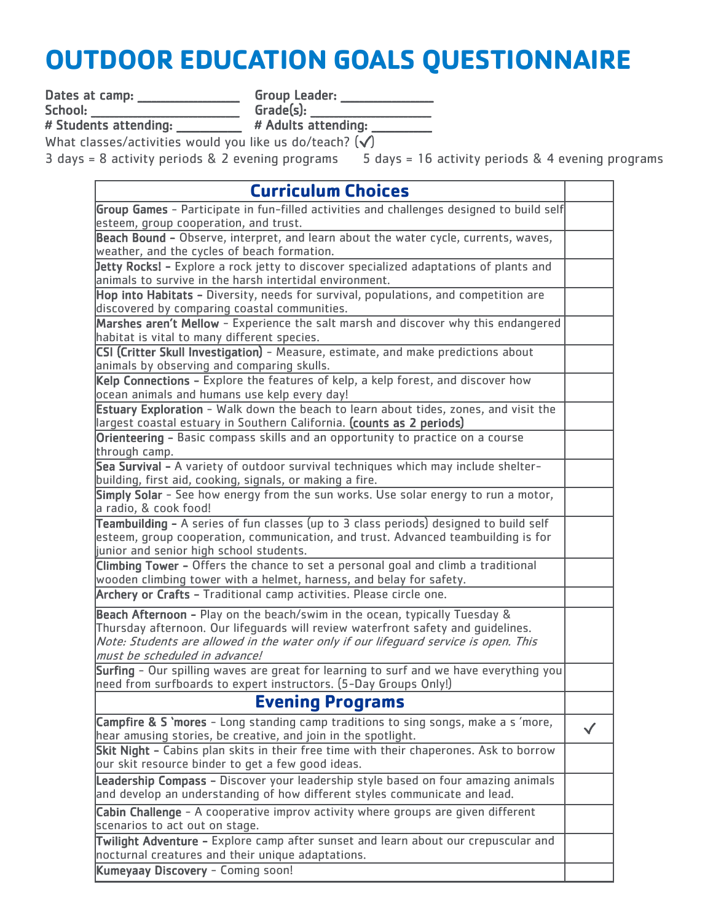## **OUTDOOR EDUCATION GOALS QUESTIONNAIRE**

Dates at camp: \_\_\_\_\_\_\_\_\_\_\_\_\_\_\_\_\_\_\_\_\_\_\_\_\_\_Group Leader: \_\_\_\_\_\_\_\_\_\_\_\_\_\_\_\_\_\_\_\_\_\_\_\_\_

School: \_\_\_\_\_\_\_\_\_\_\_\_\_\_\_\_\_\_\_\_\_\_\_\_\_\_\_\_\_\_\_\_\_Grade(s): \_\_\_\_\_\_\_\_\_\_\_\_\_\_\_\_\_\_\_\_\_\_\_\_\_\_\_\_\_

# Students attending: \_\_\_\_\_\_\_\_\_\_\_\_\_\_ # Adults attending: \_\_\_\_\_\_\_\_\_\_\_\_\_

What classes/activities would you like us do/teach?  $(\checkmark)$ 

3 days = 8 activity periods & 2 evening programs 5 days = 16 activity periods & 4 evening programs

| <b>Curriculum Choices</b>                                                                |              |
|------------------------------------------------------------------------------------------|--------------|
| Group Games - Participate in fun-filled activities and challenges designed to build self |              |
| esteem, group cooperation, and trust.                                                    |              |
| Beach Bound - Observe, interpret, and learn about the water cycle, currents, waves,      |              |
| weather, and the cycles of beach formation.                                              |              |
| Jetty Rocks! - Explore a rock jetty to discover specialized adaptations of plants and    |              |
| animals to survive in the harsh intertidal environment.                                  |              |
| Hop into Habitats - Diversity, needs for survival, populations, and competition are      |              |
| discovered by comparing coastal communities.                                             |              |
| Marshes aren't Mellow - Experience the salt marsh and discover why this endangered       |              |
| habitat is vital to many different species.                                              |              |
| CSI (Critter Skull Investigation) - Measure, estimate, and make predictions about        |              |
| animals by observing and comparing skulls.                                               |              |
| Kelp Connections - Explore the features of kelp, a kelp forest, and discover how         |              |
| ocean animals and humans use kelp every day!                                             |              |
| Estuary Exploration - Walk down the beach to learn about tides, zones, and visit the     |              |
| largest coastal estuary in Southern California. (counts as 2 periods)                    |              |
| Orienteering - Basic compass skills and an opportunity to practice on a course           |              |
| through camp.                                                                            |              |
| Sea Survival - A variety of outdoor survival techniques which may include shelter-       |              |
| building, first aid, cooking, signals, or making a fire.                                 |              |
| Simply Solar - See how energy from the sun works. Use solar energy to run a motor,       |              |
| a radio, & cook food!                                                                    |              |
| Teambuilding - A series of fun classes (up to 3 class periods) designed to build self    |              |
| esteem, group cooperation, communication, and trust. Advanced teambuilding is for        |              |
| junior and senior high school students.                                                  |              |
| Climbing Tower - Offers the chance to set a personal goal and climb a traditional        |              |
| wooden climbing tower with a helmet, harness, and belay for safety.                      |              |
| Archery or Crafts - Traditional camp activities. Please circle one.                      |              |
| Beach Afternoon - Play on the beach/swim in the ocean, typically Tuesday &               |              |
| Thursday afternoon. Our lifeguards will review waterfront safety and guidelines.         |              |
| Note: Students are allowed in the water only if our lifeguard service is open. This      |              |
| must be scheduled in advance!                                                            |              |
| Surfing - Our spilling waves are great for learning to surf and we have everything you   |              |
| need from surfboards to expert instructors. (5-Day Groups Only!)                         |              |
| <b>Evening Programs</b>                                                                  |              |
| Campfire & S 'mores - Long standing camp traditions to sing songs, make a s 'more,       |              |
| hear amusing stories, be creative, and join in the spotlight.                            | $\checkmark$ |
| Skit Night - Cabins plan skits in their free time with their chaperones. Ask to borrow   |              |
| our skit resource binder to get a few good ideas.                                        |              |
| Leadership Compass - Discover your leadership style based on four amazing animals        |              |
| and develop an understanding of how different styles communicate and lead.               |              |
| Cabin Challenge - A cooperative improv activity where groups are given different         |              |
| scenarios to act out on stage.                                                           |              |
| Twilight Adventure - Explore camp after sunset and learn about our crepuscular and       |              |
| nocturnal creatures and their unique adaptations.                                        |              |
| Kumeyaay Discovery - Coming soon!                                                        |              |
|                                                                                          |              |